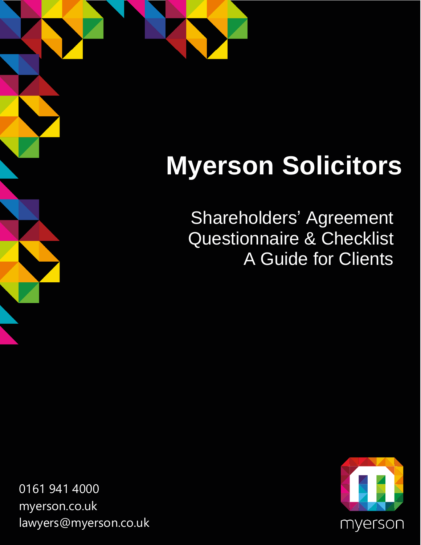## **Myerson Solicitors**

Shareholders' Agreement Questionnaire & Checklist A Guide for Clients

0161 941 4000 [myerson.co.uk](http://www.myerson.co.uk/) [lawyers@myerson.co.uk](mailto:lawyers@myerson.co.uk)

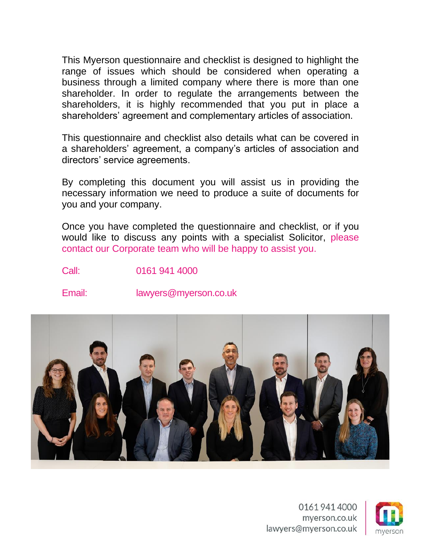This Myerson questionnaire and checklist is designed to highlight the range of issues which should be considered when operating a business through a limited company where there is more than one shareholder. In order to regulate the arrangements between the shareholders, it is highly recommended that you put in place a shareholders' agreement and complementary articles of association.

This questionnaire and checklist also details what can be covered in a shareholders' agreement, a company's articles of association and directors' service agreements.

By completing this document you will assist us in providing the necessary information we need to produce a suite of documents for you and your company.

Once you have completed the questionnaire and checklist, or if you would like to discuss any points with a specialist Solicitor, [please](https://www.myerson.co.uk/business/corporate)  [contact our Corporate team who will be happy to assist you.](https://www.myerson.co.uk/business/corporate)

Call: 0161 941 4000

Email: lawyers@myerson.co.uk



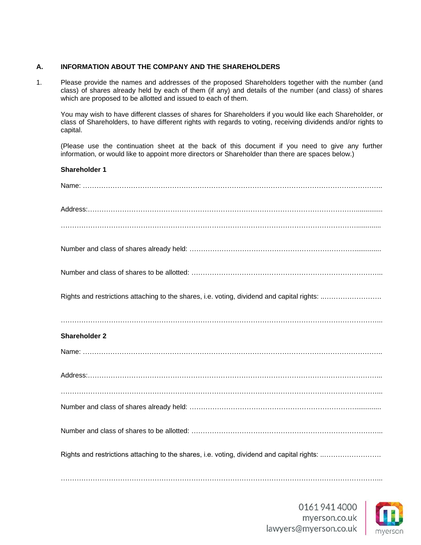#### **A. INFORMATION ABOUT THE COMPANY AND THE SHAREHOLDERS**

1. Please provide the names and addresses of the proposed Shareholders together with the number (and class) of shares already held by each of them (if any) and details of the number (and class) of shares which are proposed to be allotted and issued to each of them.

You may wish to have different classes of shares for Shareholders if you would like each Shareholder, or class of Shareholders, to have different rights with regards to voting, receiving dividends and/or rights to capital.

(Please use the continuation sheet at the back of this document if you need to give any further information, or would like to appoint more directors or Shareholder than there are spaces below.)

### **Shareholder 1** Name: ………………………………………………………………………………………………………………….. Address:……………………………………………………………………………………………………….............. …………………………………………………………………………………………………………………............. Number and class of shares already held: ……………………………………………………………….............. Number and class of shares to be allotted: ………………………………………………………………………... Rights and restrictions attaching to the shares, i.e. voting, dividend and capital rights: ..……………………. **Shareholder 2** Name: ………………………………………………………………………………………………………………….. Address:………………………………………………………………………………………………………………... …………………………………………………………………………………………………………………………... Number and class of shares already held: ……………………………………………………………….............. Number and class of shares to be allotted: ………………………………………………………………………... Rights and restrictions attaching to the shares, i.e. voting, dividend and capital rights: ..…………………….  $\mathcal{L}^{(n)}$  . The contract of the contract of the contract of the contract of the contract of the contract of the contract of the contract of the contract of the contract of the contract of the contract of the contract o

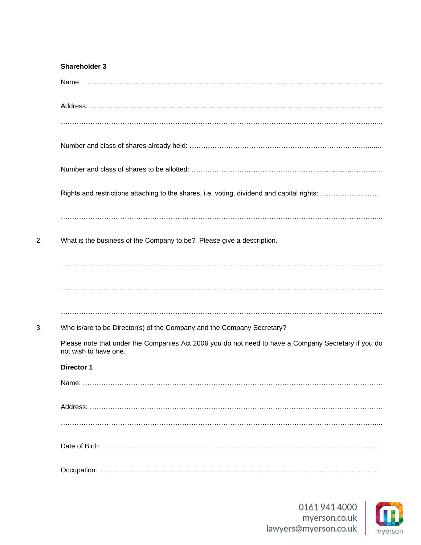| <b>Shareholder 3</b>                                                                                                         |
|------------------------------------------------------------------------------------------------------------------------------|
|                                                                                                                              |
|                                                                                                                              |
|                                                                                                                              |
|                                                                                                                              |
|                                                                                                                              |
| Rights and restrictions attaching to the shares, i.e. voting, dividend and capital rights:                                   |
|                                                                                                                              |
| What is the business of the Company to be? Please give a description.                                                        |
|                                                                                                                              |
|                                                                                                                              |
| Who is/are to be Director(s) of the Company and the Company Secretary?                                                       |
| Please note that under the Companies Act 2006 you do not need to have a Company Secretary if you do<br>not wish to have one. |
| <b>Director 1</b>                                                                                                            |
|                                                                                                                              |
|                                                                                                                              |
|                                                                                                                              |
|                                                                                                                              |
|                                                                                                                              |

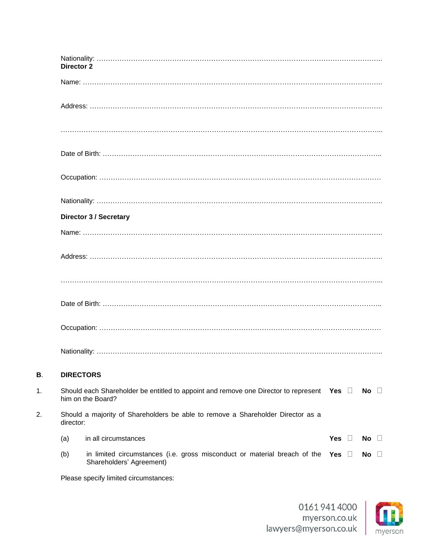|    | Director 2       |                                                                                                          |            |               |        |
|----|------------------|----------------------------------------------------------------------------------------------------------|------------|---------------|--------|
|    |                  |                                                                                                          |            |               |        |
|    |                  |                                                                                                          |            |               |        |
|    |                  |                                                                                                          |            |               |        |
|    |                  |                                                                                                          |            |               |        |
|    |                  |                                                                                                          |            |               |        |
|    |                  |                                                                                                          |            |               |        |
|    |                  | <b>Director 3 / Secretary</b>                                                                            |            |               |        |
|    |                  |                                                                                                          |            |               |        |
|    |                  |                                                                                                          |            |               |        |
|    |                  |                                                                                                          |            |               |        |
|    |                  |                                                                                                          |            |               |        |
|    |                  |                                                                                                          |            |               |        |
|    |                  |                                                                                                          |            |               |        |
| В. | <b>DIRECTORS</b> |                                                                                                          |            |               |        |
| 1. |                  | Should each Shareholder be entitled to appoint and remove one Director to represent<br>him on the Board? | Yes ∐      | No.<br>$\Box$ |        |
| 2. | director:        | Should a majority of Shareholders be able to remove a Shareholder Director as a                          |            |               |        |
|    | (a)              | in all circumstances                                                                                     | Yes $\Box$ | No            | $\Box$ |
|    | (b)              | in limited circumstances (i.e. gross misconduct or material breach of the<br>Shareholders' Agreement)    | Yes $\Box$ | No.           | $\Box$ |

Please specify limited circumstances:

**B**.

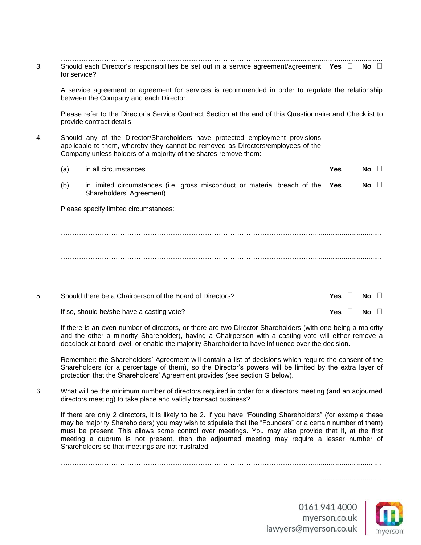…………………………………………………………………………………......................................................... 3. Should each Director's responsibilities be set out in a service agreement/agreement Yes  $\Box$  No  $\Box$ for service?

A service agreement or agreement for services is recommended in order to regulate the relationship between the Company and each Director.

Please refer to the Director's Service Contract Section at the end of this Questionnaire and Checklist to provide contract details.

4. Should any of the Director/Shareholders have protected employment provisions applicable to them, whereby they cannot be removed as Directors/employees of the Company unless holders of a majority of the shares remove them:

|    | (a) | in all circumstances                                                                                                | <b>Yes</b> |           |  |
|----|-----|---------------------------------------------------------------------------------------------------------------------|------------|-----------|--|
|    | (b) | in limited circumstances (i.e. gross misconduct or material breach of the Yes $\square$<br>Shareholders' Agreement) |            | No $\Box$ |  |
|    |     | Please specify limited circumstances:                                                                               |            |           |  |
|    |     |                                                                                                                     |            |           |  |
|    |     |                                                                                                                     |            |           |  |
|    |     |                                                                                                                     |            |           |  |
|    |     |                                                                                                                     |            |           |  |
| 5. |     | Should there be a Chairperson of the Board of Directors?                                                            | Yes.       | NΩ        |  |
|    |     |                                                                                                                     |            |           |  |

If so, should he/she have a casting vote?

If there is an even number of directors, or there are two Director Shareholders (with one being a majority and the other a minority Shareholder), having a Chairperson with a casting vote will either remove a deadlock at board level, or enable the majority Shareholder to have influence over the decision.

Remember: the Shareholders' Agreement will contain a list of decisions which require the consent of the Shareholders (or a percentage of them), so the Director's powers will be limited by the extra layer of protection that the Shareholders' Agreement provides (see section G below).

6. What will be the minimum number of directors required in order for a directors meeting (and an adjourned directors meeting) to take place and validly transact business?

If there are only 2 directors, it is likely to be 2. If you have "Founding Shareholders" (for example these may be majority Shareholders) you may wish to stipulate that the "Founders" or a certain number of them) must be present. This allows some control over meetings. You may also provide that if, at the first meeting a quorum is not present, then the adjourned meeting may require a lesser number of Shareholders so that meetings are not frustrated.

…………………………………………………………………………………………………................................... …………………………………………………………………………………………………...................................





**Yes**  $\Box$  **No**  $\Box$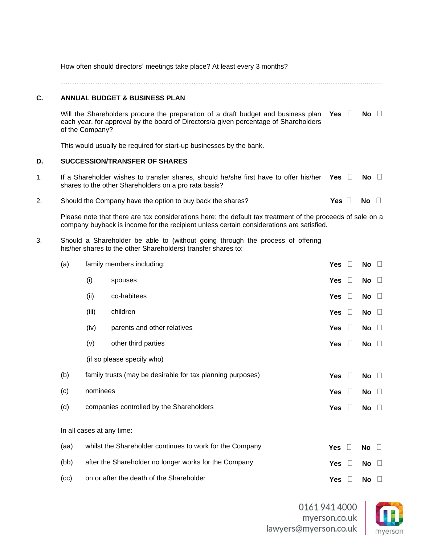|                                                                                                                                                                                                                                                                                                                                                                                                                                                                                                                                                                                                                                                                                                                                                                                                                                                                                                                                                                                                                                                                                                                                                                                                                                                                                                                                                                     | How often should directors' meetings take place? At least every 3 months? |       |                                          |            |         |                 |         |  |  |  |
|---------------------------------------------------------------------------------------------------------------------------------------------------------------------------------------------------------------------------------------------------------------------------------------------------------------------------------------------------------------------------------------------------------------------------------------------------------------------------------------------------------------------------------------------------------------------------------------------------------------------------------------------------------------------------------------------------------------------------------------------------------------------------------------------------------------------------------------------------------------------------------------------------------------------------------------------------------------------------------------------------------------------------------------------------------------------------------------------------------------------------------------------------------------------------------------------------------------------------------------------------------------------------------------------------------------------------------------------------------------------|---------------------------------------------------------------------------|-------|------------------------------------------|------------|---------|-----------------|---------|--|--|--|
| C.                                                                                                                                                                                                                                                                                                                                                                                                                                                                                                                                                                                                                                                                                                                                                                                                                                                                                                                                                                                                                                                                                                                                                                                                                                                                                                                                                                  |                                                                           |       |                                          |            |         |                 |         |  |  |  |
|                                                                                                                                                                                                                                                                                                                                                                                                                                                                                                                                                                                                                                                                                                                                                                                                                                                                                                                                                                                                                                                                                                                                                                                                                                                                                                                                                                     |                                                                           |       |                                          |            |         | $No \quad \Box$ |         |  |  |  |
|                                                                                                                                                                                                                                                                                                                                                                                                                                                                                                                                                                                                                                                                                                                                                                                                                                                                                                                                                                                                                                                                                                                                                                                                                                                                                                                                                                     |                                                                           |       |                                          |            |         |                 |         |  |  |  |
| D.                                                                                                                                                                                                                                                                                                                                                                                                                                                                                                                                                                                                                                                                                                                                                                                                                                                                                                                                                                                                                                                                                                                                                                                                                                                                                                                                                                  |                                                                           |       |                                          |            |         |                 |         |  |  |  |
| 1.                                                                                                                                                                                                                                                                                                                                                                                                                                                                                                                                                                                                                                                                                                                                                                                                                                                                                                                                                                                                                                                                                                                                                                                                                                                                                                                                                                  |                                                                           |       |                                          |            |         | No $\Box$       |         |  |  |  |
| 2.                                                                                                                                                                                                                                                                                                                                                                                                                                                                                                                                                                                                                                                                                                                                                                                                                                                                                                                                                                                                                                                                                                                                                                                                                                                                                                                                                                  |                                                                           |       |                                          |            |         | No              | $\Box$  |  |  |  |
|                                                                                                                                                                                                                                                                                                                                                                                                                                                                                                                                                                                                                                                                                                                                                                                                                                                                                                                                                                                                                                                                                                                                                                                                                                                                                                                                                                     |                                                                           |       |                                          |            |         |                 |         |  |  |  |
| 3.                                                                                                                                                                                                                                                                                                                                                                                                                                                                                                                                                                                                                                                                                                                                                                                                                                                                                                                                                                                                                                                                                                                                                                                                                                                                                                                                                                  |                                                                           |       |                                          |            |         |                 |         |  |  |  |
|                                                                                                                                                                                                                                                                                                                                                                                                                                                                                                                                                                                                                                                                                                                                                                                                                                                                                                                                                                                                                                                                                                                                                                                                                                                                                                                                                                     | (a)                                                                       |       |                                          | <b>Yes</b> | $\Box$  | No $\square$    |         |  |  |  |
|                                                                                                                                                                                                                                                                                                                                                                                                                                                                                                                                                                                                                                                                                                                                                                                                                                                                                                                                                                                                                                                                                                                                                                                                                                                                                                                                                                     |                                                                           | (i)   | spouses                                  | <b>Yes</b> | $\Box$  | No              | $\Box$  |  |  |  |
|                                                                                                                                                                                                                                                                                                                                                                                                                                                                                                                                                                                                                                                                                                                                                                                                                                                                                                                                                                                                                                                                                                                                                                                                                                                                                                                                                                     |                                                                           | (ii)  | co-habitees                              | <b>Yes</b> | $\Box$  | No              | $\Box$  |  |  |  |
|                                                                                                                                                                                                                                                                                                                                                                                                                                                                                                                                                                                                                                                                                                                                                                                                                                                                                                                                                                                                                                                                                                                                                                                                                                                                                                                                                                     |                                                                           | (iii) | children                                 | <b>Yes</b> | $\Box$  | No              | $\perp$ |  |  |  |
|                                                                                                                                                                                                                                                                                                                                                                                                                                                                                                                                                                                                                                                                                                                                                                                                                                                                                                                                                                                                                                                                                                                                                                                                                                                                                                                                                                     |                                                                           | (iv)  | parents and other relatives              | Yes        | $\Box$  | No              | $\Box$  |  |  |  |
|                                                                                                                                                                                                                                                                                                                                                                                                                                                                                                                                                                                                                                                                                                                                                                                                                                                                                                                                                                                                                                                                                                                                                                                                                                                                                                                                                                     |                                                                           | (v)   | other third parties                      | <b>Yes</b> | $\perp$ | <b>No</b>       | $\Box$  |  |  |  |
|                                                                                                                                                                                                                                                                                                                                                                                                                                                                                                                                                                                                                                                                                                                                                                                                                                                                                                                                                                                                                                                                                                                                                                                                                                                                                                                                                                     |                                                                           |       |                                          |            |         |                 |         |  |  |  |
|                                                                                                                                                                                                                                                                                                                                                                                                                                                                                                                                                                                                                                                                                                                                                                                                                                                                                                                                                                                                                                                                                                                                                                                                                                                                                                                                                                     | (b)                                                                       |       |                                          | Yes        | $\Box$  | No $\square$    |         |  |  |  |
|                                                                                                                                                                                                                                                                                                                                                                                                                                                                                                                                                                                                                                                                                                                                                                                                                                                                                                                                                                                                                                                                                                                                                                                                                                                                                                                                                                     | (c)                                                                       |       |                                          | <b>Yes</b> | $\Box$  | No              | $\Box$  |  |  |  |
|                                                                                                                                                                                                                                                                                                                                                                                                                                                                                                                                                                                                                                                                                                                                                                                                                                                                                                                                                                                                                                                                                                                                                                                                                                                                                                                                                                     | (d)                                                                       |       |                                          | <b>Yes</b> | $\Box$  | No              | $\Box$  |  |  |  |
| <b>ANNUAL BUDGET &amp; BUSINESS PLAN</b><br>Will the Shareholders procure the preparation of a draft budget and business plan<br>Yes $\Box$<br>each year, for approval by the board of Directors/a given percentage of Shareholders<br>of the Company?<br>This would usually be required for start-up businesses by the bank.<br><b>SUCCESSION/TRANSFER OF SHARES</b><br>If a Shareholder wishes to transfer shares, should he/she first have to offer his/her Yes $\Box$<br>shares to the other Shareholders on a pro rata basis?<br>Yes $\square$<br>Should the Company have the option to buy back the shares?<br>Please note that there are tax considerations here: the default tax treatment of the proceeds of sale on a<br>company buyback is income for the recipient unless certain considerations are satisfied.<br>Should a Shareholder be able to (without going through the process of offering<br>his/her shares to the other Shareholders) transfer shares to:<br>family members including:<br>(if so please specify who)<br>family trusts (may be desirable for tax planning purposes)<br>nominees<br>companies controlled by the Shareholders<br>In all cases at any time:<br>whilst the Shareholder continues to work for the Company<br>(aa)<br>Yes<br>$\Box$<br>after the Shareholder no longer works for the Company<br>(bb)<br>Yes<br>$\Box$ |                                                                           |       |                                          |            |         |                 |         |  |  |  |
|                                                                                                                                                                                                                                                                                                                                                                                                                                                                                                                                                                                                                                                                                                                                                                                                                                                                                                                                                                                                                                                                                                                                                                                                                                                                                                                                                                     |                                                                           |       |                                          |            |         | No              | −⊔      |  |  |  |
|                                                                                                                                                                                                                                                                                                                                                                                                                                                                                                                                                                                                                                                                                                                                                                                                                                                                                                                                                                                                                                                                                                                                                                                                                                                                                                                                                                     |                                                                           |       |                                          |            |         | No              | $\Box$  |  |  |  |
|                                                                                                                                                                                                                                                                                                                                                                                                                                                                                                                                                                                                                                                                                                                                                                                                                                                                                                                                                                                                                                                                                                                                                                                                                                                                                                                                                                     | (cc)                                                                      |       | on or after the death of the Shareholder | Yes        | $\Box$  | No $\Box$       |         |  |  |  |

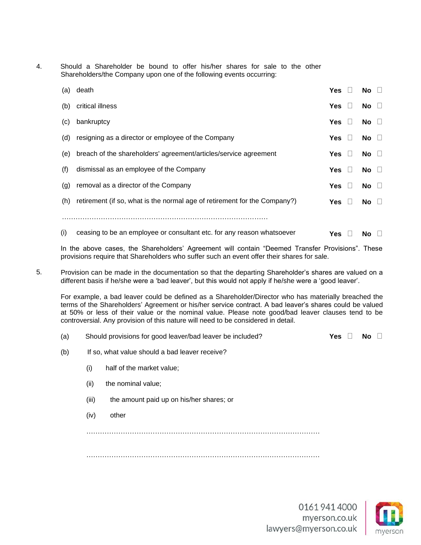4. Should a Shareholder be bound to offer his/her shares for sale to the other Shareholders/the Company upon one of the following events occurring:

| (a) | death                                                                     | Yes           |        | No                      |
|-----|---------------------------------------------------------------------------|---------------|--------|-------------------------|
| (b) | critical illness                                                          | Yes $\square$ |        | $\overline{N}$ o $\Box$ |
| (c) | bankruptcy                                                                | Yes $\Box$    |        | $\overline{N}$ o $\Box$ |
| (d) | resigning as a director or employee of the Company                        | Yes $\Box$    |        | $No$ $\Box$             |
| (e) | breach of the shareholders' agreement/articles/service agreement          | Yes $\Box$    |        | No $\Box$               |
| (f) | dismissal as an employee of the Company                                   | <b>Yes</b>    | $\Box$ | $\overline{N}$ o $\Box$ |
| (g) | removal as a director of the Company                                      | <b>Yes</b>    | $\Box$ | $\overline{N}$ o $\Box$ |
| (h) | retirement (if so, what is the normal age of retirement for the Company?) | Yes $  $      |        | No $\Box$               |
|     |                                                                           |               |        |                         |
|     |                                                                           |               |        |                         |

- In the above cases, the Shareholders' Agreement will contain "Deemed Transfer Provisions". These provisions require that Shareholders who suffer such an event offer their shares for sale.
- 5. Provision can be made in the documentation so that the departing Shareholder's shares are valued on a different basis if he/she were a 'bad leaver', but this would not apply if he/she were a 'good leaver'.

(i) ceasing to be an employee or consultant etc. for any reason whatsoever

For example, a bad leaver could be defined as a Shareholder/Director who has materially breached the terms of the Shareholders' Agreement or his/her service contract. A bad leaver's shares could be valued at 50% or less of their value or the nominal value. Please note good/bad leaver clauses tend to be controversial. Any provision of this nature will need to be considered in detail.

- (a) Should provisions for good leaver/bad leaver be included?  $Yes  $\Box$  No  $\Box$$
- (b) If so, what value should a bad leaver receive?
	- (i) half of the market value;
	- (ii) the nominal value;
	- (iii) the amount paid up on his/her shares; or
	- (iv) other

…………………………………………………………………………………………

…………………………………………………………………………………………



**Yes No**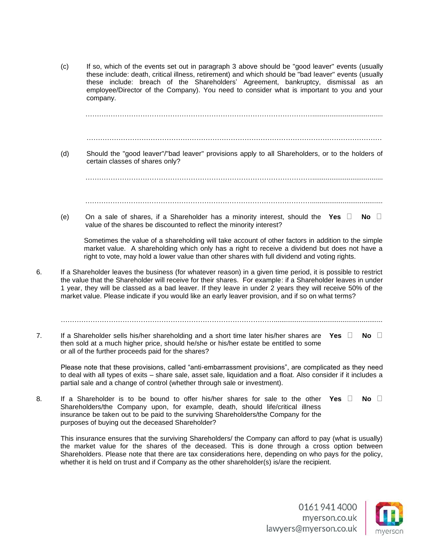(c) If so, which of the events set out in paragraph 3 above should be "good leaver" events (usually these include: death, critical illness, retirement) and which should be "bad leaver" events (usually these include: breach of the Shareholders' Agreement, bankruptcy, dismissal as an employee/Director of the Company). You need to consider what is important to you and your company.

……………………………………………………………………………………….....................................

………………………………………………………………………………………………………………… (d) Should the "good leaver"/"bad leaver" provisions apply to all Shareholders, or to the holders of certain classes of shares only? ……………………………………………………………………………………….....................................

(e) On a sale of shares, if a Shareholder has a minority interest, should the Yes  $\Box$  No  $\Box$ value of the shares be discounted to reflect the minority interest?

Sometimes the value of a shareholding will take account of other factors in addition to the simple market value. A shareholding which only has a right to receive a dividend but does not have a right to vote, may hold a lower value than other shares with full dividend and voting rights.

……………………………………………………………………………………….....................................

- 6. If a Shareholder leaves the business (for whatever reason) in a given time period, it is possible to restrict the value that the Shareholder will receive for their shares. For example: if a Shareholder leaves in under 1 year, they will be classed as a bad leaver. If they leave in under 2 years they will receive 50% of the market value. Please indicate if you would like an early leaver provision, and if so on what terms?
- 7. If a Shareholder sells his/her shareholding and a short time later his/her shares are Yes  $\Box$  No  $\Box$ then sold at a much higher price, should he/she or his/her estate be entitled to some or all of the further proceeds paid for the shares?

Please note that these provisions, called "anti-embarrassment provisions", are complicated as they need to deal with all types of exits – share sale, asset sale, liquidation and a float. Also consider if it includes a partial sale and a change of control (whether through sale or investment).

………………………………………………………………………………….........................................................

8. If a Shareholder is to be bound to offer his/her shares for sale to the other Yes  $\Box$  No  $\Box$ Shareholders/the Company upon, for example, death, should life/critical illness insurance be taken out to be paid to the surviving Shareholders/the Company for the purposes of buying out the deceased Shareholder?

This insurance ensures that the surviving Shareholders/ the Company can afford to pay (what is usually) the market value for the shares of the deceased. This is done through a cross option between Shareholders. Please note that there are tax considerations here, depending on who pays for the policy, whether it is held on trust and if Company as the other shareholder(s) is/are the recipient.

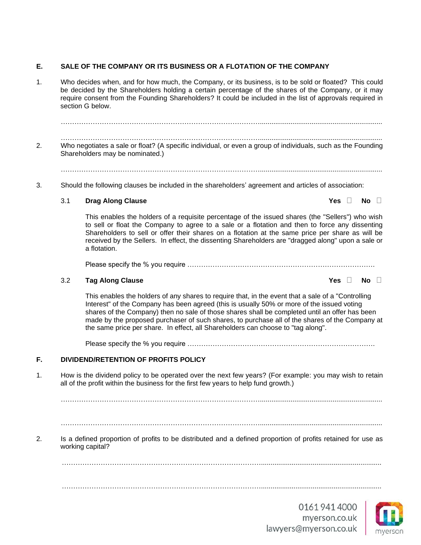#### **E. SALE OF THE COMPANY OR ITS BUSINESS OR A FLOTATION OF THE COMPANY**

1. Who decides when, and for how much, the Company, or its business, is to be sold or floated? This could be decided by the Shareholders holding a certain percentage of the shares of the Company, or it may require consent from the Founding Shareholders? It could be included in the list of approvals required in section G below.

……………………………………………………………………………................................................................ ……………………………………………………………………………................................................................ 2. Who negotiates a sale or float? (A specific individual, or even a group of individuals, such as the Founding Shareholders may be nominated.)

……………………………………………………………………………................................................................

3. Should the following clauses be included in the shareholders' agreement and articles of association:

#### 3.1 **Drag Along Clause Yes No**

This enables the holders of a requisite percentage of the issued shares (the "Sellers") who wish to sell or float the Company to agree to a sale or a flotation and then to force any dissenting Shareholders to sell or offer their shares on a flotation at the same price per share as will be received by the Sellers. In effect, the dissenting Shareholders are "dragged along" upon a sale or a flotation.

Please specify the % you require ……………………………………………………………………….

#### 3.2 **Tag Along Clause Yes No**

This enables the holders of any shares to require that, in the event that a sale of a "Controlling Interest" of the Company has been agreed (this is usually 50% or more of the issued voting shares of the Company) then no sale of those shares shall be completed until an offer has been made by the proposed purchaser of such shares, to purchase all of the shares of the Company at the same price per share. In effect, all Shareholders can choose to "tag along".

Please specify the % you require ……………………………………………………………………….

#### **F. DIVIDEND/RETENTION OF PROFITS POLICY**

1. How is the dividend policy to be operated over the next few years? (For example: you may wish to retain all of the profit within the business for the first few years to help fund growth.)

……………………………………………………………………………................................................................

#### ……………………………………………………………………………................................................................

2. Is a defined proportion of profits to be distributed and a defined proportion of profits retained for use as working capital?

……………………………………………………………………………...............................................................





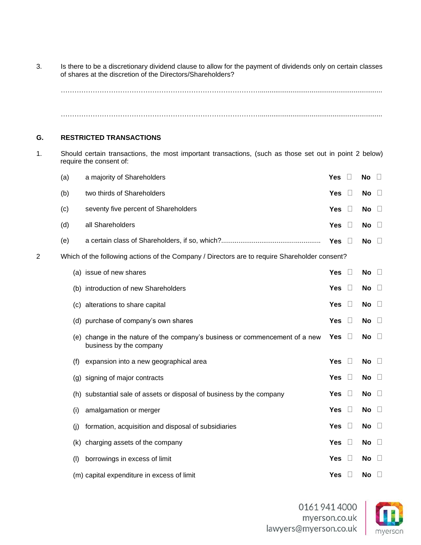3. Is there to be a discretionary dividend clause to allow for the payment of dividends only on certain classes of shares at the discretion of the Directors/Shareholders?

……………………………………………………………………………................................................................ ……………………………………………………………………………................................................................

#### **G. RESTRICTED TRANSACTIONS**

1. Should certain transactions, the most important transactions, (such as those set out in point 2 below) require the consent of:

|   | (a) | a majority of Shareholders                                                                             | <b>Yes</b> | $\Box$ | <b>No</b> | $\Box$  |
|---|-----|--------------------------------------------------------------------------------------------------------|------------|--------|-----------|---------|
|   | (b) | two thirds of Shareholders                                                                             | <b>Yes</b> | $\Box$ | No        | $\Box$  |
|   | (c) | seventy five percent of Shareholders                                                                   | <b>Yes</b> | $\Box$ | No        | $\Box$  |
|   | (d) | all Shareholders                                                                                       | <b>Yes</b> | $\Box$ | No        | $\Box$  |
|   | (e) |                                                                                                        | Yes        | $\Box$ | No        | $\Box$  |
| 2 |     | Which of the following actions of the Company / Directors are to require Shareholder consent?          |            |        |           |         |
|   |     | (a) issue of new shares                                                                                | <b>Yes</b> | $\Box$ | No        | $\Box$  |
|   |     | (b) introduction of new Shareholders                                                                   | <b>Yes</b> | $\Box$ | No        | $\Box$  |
|   |     | (c) alterations to share capital                                                                       | <b>Yes</b> | $\Box$ | <b>No</b> | $\Box$  |
|   |     | (d) purchase of company's own shares                                                                   | <b>Yes</b> | $\Box$ | No        | $\Box$  |
|   |     | (e) change in the nature of the company's business or commencement of a new<br>business by the company | Yes        | $\Box$ | <b>No</b> | $\Box$  |
|   | (f) | expansion into a new geographical area                                                                 | <b>Yes</b> | $\Box$ | No        | $\Box$  |
|   |     | (g) signing of major contracts                                                                         | <b>Yes</b> | $\Box$ | <b>No</b> | $\Box$  |
|   |     | (h) substantial sale of assets or disposal of business by the company                                  | <b>Yes</b> | $\Box$ | No        | $\Box$  |
|   | (i) | amalgamation or merger                                                                                 | <b>Yes</b> | $\Box$ | No        | $\Box$  |
|   | (j) | formation, acquisition and disposal of subsidiaries                                                    | Yes        | $\Box$ | No        | $\Box$  |
|   | (k) | charging assets of the company                                                                         | <b>Yes</b> | $\Box$ | <b>No</b> | $\Box$  |
|   | (1) | borrowings in excess of limit                                                                          | <b>Yes</b> | $\Box$ | <b>No</b> | $\perp$ |
|   |     | (m) capital expenditure in excess of limit                                                             | Yes        | $\Box$ | No        | $\Box$  |
|   |     |                                                                                                        |            |        |           |         |

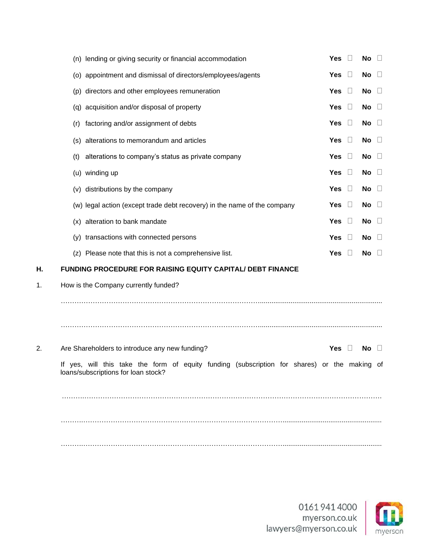|    | (n) lending or giving security or financial accommodation                                                                           | <b>Yes</b><br>Л<br>No<br>$\perp$     |
|----|-------------------------------------------------------------------------------------------------------------------------------------|--------------------------------------|
|    | (o) appointment and dismissal of directors/employees/agents                                                                         | <b>Yes</b><br>$\Box$<br>No<br>$\Box$ |
|    | (p) directors and other employees remuneration                                                                                      | <b>Yes</b><br>$\Box$<br>No<br>$\Box$ |
|    | (q) acquisition and/or disposal of property                                                                                         | $\Box$<br>Yes<br>No<br>$\Box$        |
|    | factoring and/or assignment of debts<br>(r)                                                                                         | $\Box$<br><b>Yes</b><br>No<br>$\Box$ |
|    | alterations to memorandum and articles<br>(s)                                                                                       | $\Box$<br>Yes<br>No<br>$\Box$        |
|    | alterations to company's status as private company<br>(t)                                                                           | $\Box$<br><b>Yes</b><br>No<br>$\Box$ |
|    | (u) winding up                                                                                                                      | $\Box$<br><b>Yes</b><br>No<br>$\Box$ |
|    | (v) distributions by the company                                                                                                    | $\Box$<br><b>Yes</b><br>No<br>$\Box$ |
|    | (w) legal action (except trade debt recovery) in the name of the company                                                            | <b>Yes</b><br>Ц<br>No<br>$\Box$      |
|    | (x) alteration to bank mandate                                                                                                      | Yes<br>$\Box$<br>No<br>$\Box$        |
|    | (y) transactions with connected persons                                                                                             | $\Box$<br><b>Yes</b><br>No<br>$\Box$ |
|    | (z) Please note that this is not a comprehensive list.                                                                              | <b>Yes</b><br>$\Box$<br>No<br>$\Box$ |
| Η. | FUNDING PROCEDURE FOR RAISING EQUITY CAPITAL/ DEBT FINANCE                                                                          |                                      |
| 1. | How is the Company currently funded?                                                                                                |                                      |
|    |                                                                                                                                     |                                      |
|    |                                                                                                                                     |                                      |
| 2. | Are Shareholders to introduce any new funding?                                                                                      | Yes $\square$<br><b>No</b><br>$\Box$ |
|    | If yes, will this take the form of equity funding (subscription for shares) or the making of<br>loans/subscriptions for loan stock? |                                      |
|    |                                                                                                                                     |                                      |
|    |                                                                                                                                     |                                      |
|    |                                                                                                                                     |                                      |

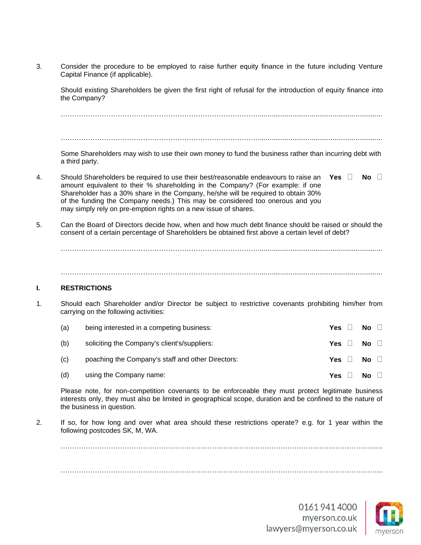3. Consider the procedure to be employed to raise further equity finance in the future including Venture Capital Finance (if applicable).

Should existing Shareholders be given the first right of refusal for the introduction of equity finance into the Company?

……………………………………………………………………………................................................................

……………………………………………………………………………................................................................

Some Shareholders may wish to use their own money to fund the business rather than incurring debt with a third party.

- 4. Should Shareholders be required to use their best/reasonable endeavours to raise an Yes  $\Box$  No  $\Box$ amount equivalent to their % shareholding in the Company? (For example: if one Shareholder has a 30% share in the Company, he/she will be required to obtain 30% of the funding the Company needs.) This may be considered too onerous and you may simply rely on pre-emption rights on a new issue of shares.
- 5. Can the Board of Directors decide how, when and how much debt finance should be raised or should the consent of a certain percentage of Shareholders be obtained first above a certain level of debt?

……………………………………………………………………………................................................................

……………………………………………………………………………................................................................

#### **I. RESTRICTIONS**

1. Should each Shareholder and/or Director be subject to restrictive covenants prohibiting him/her from carrying on the following activities:

| (a) | being interested in a competing business:         | <b>Yes</b> | <b>No</b> | $\Box$ |
|-----|---------------------------------------------------|------------|-----------|--------|
| (b) | soliciting the Company's client's/suppliers:      | Yes II     | No II     |        |
| (c) | poaching the Company's staff and other Directors: | Yes II     | No $\Box$ |        |
| (d) | using the Company name:                           | Yes.       | <b>No</b> |        |

Please note, for non-competition covenants to be enforceable they must protect legitimate business interests only, they must also be limited in geographical scope, duration and be confined to the nature of the business in question.

2. If so, for how long and over what area should these restrictions operate? e.g. for 1 year within the following postcodes SK, M, WA.

………………………………………………………………………………………………………………………...…

…………………………………………………………………………………………………………………………...

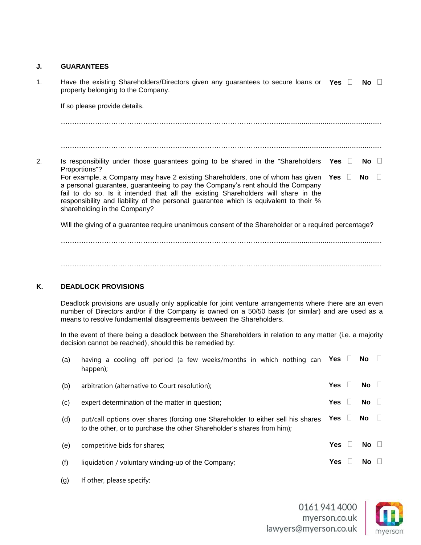#### **J. GUARANTEES**

| $\mathbf 1$ . | Have the existing Shareholders/Directors given any guarantees to secure loans or Yes $\Box$<br>property belonging to the Company.                                                                                                                                                                                                                                                           |         |  | No.                     |  |  |
|---------------|---------------------------------------------------------------------------------------------------------------------------------------------------------------------------------------------------------------------------------------------------------------------------------------------------------------------------------------------------------------------------------------------|---------|--|-------------------------|--|--|
|               | If so please provide details.                                                                                                                                                                                                                                                                                                                                                               |         |  |                         |  |  |
|               |                                                                                                                                                                                                                                                                                                                                                                                             |         |  |                         |  |  |
|               |                                                                                                                                                                                                                                                                                                                                                                                             |         |  |                         |  |  |
| 2.            | Is responsibility under those guarantees going to be shared in the "Shareholders"<br>Proportions"?                                                                                                                                                                                                                                                                                          | Yes l l |  | No II                   |  |  |
|               | For example, a Company may have 2 existing Shareholders, one of whom has given Yes $\Box$<br>a personal guarantee, guaranteeing to pay the Company's rent should the Company<br>fail to do so. Is it intended that all the existing Shareholders will share in the<br>responsibility and liability of the personal guarantee which is equivalent to their %<br>shareholding in the Company? |         |  | $\overline{N}$ o $\Box$ |  |  |
|               | Will the giving of a guarantee require unanimous consent of the Shareholder or a required percentage?                                                                                                                                                                                                                                                                                       |         |  |                         |  |  |

……………………………………………………………………………………..................................................... …………………………………………………………………………………….....................................................

#### **K. DEADLOCK PROVISIONS**

Deadlock provisions are usually only applicable for joint venture arrangements where there are an even number of Directors and/or if the Company is owned on a 50/50 basis (or similar) and are used as a means to resolve fundamental disagreements between the Shareholders.

In the event of there being a deadlock between the Shareholders in relation to any matter (i.e. a majority decision cannot be reached), should this be remedied by:

| (a) | having a cooling off period (a few weeks/months in which nothing can Yes $\square$ No<br>happen);                                                         |            |         |           |  |
|-----|-----------------------------------------------------------------------------------------------------------------------------------------------------------|------------|---------|-----------|--|
| (b) | arbitration (alternative to Court resolution);                                                                                                            | <b>Yes</b> | $\Box$  | No $\Box$ |  |
| (c) | expert determination of the matter in question;                                                                                                           | <b>Yes</b> |         | $No$ $  $ |  |
| (d) | put/call options over shares (forcing one Shareholder to either sell his shares<br>to the other, or to purchase the other Shareholder's shares from him); | <b>Yes</b> | $\perp$ | No.       |  |
| (e) | competitive bids for shares;                                                                                                                              | <b>Yes</b> |         | No.       |  |
| (f) | liquidation / voluntary winding-up of the Company;                                                                                                        | Yes        |         | <b>No</b> |  |

(g) If other, please specify:

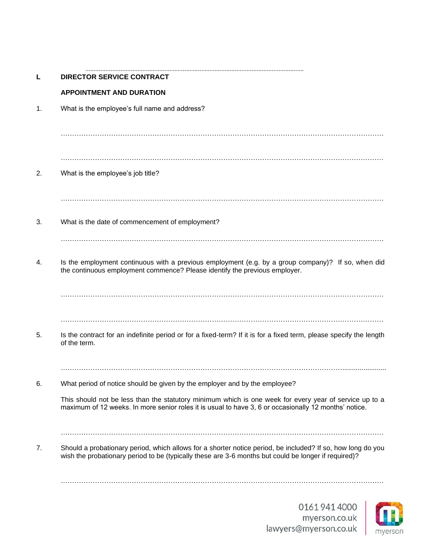| L  | <b>DIRECTOR SERVICE CONTRACT</b>                                                                                                                                                                                                                                                              |
|----|-----------------------------------------------------------------------------------------------------------------------------------------------------------------------------------------------------------------------------------------------------------------------------------------------|
|    | <b>APPOINTMENT AND DURATION</b>                                                                                                                                                                                                                                                               |
| 1. | What is the employee's full name and address?                                                                                                                                                                                                                                                 |
|    |                                                                                                                                                                                                                                                                                               |
| 2. | What is the employee's job title?                                                                                                                                                                                                                                                             |
| 3. | What is the date of commencement of employment?                                                                                                                                                                                                                                               |
| 4. | Is the employment continuous with a previous employment (e.g. by a group company)? If so, when did<br>the continuous employment commence? Please identify the previous employer.                                                                                                              |
|    |                                                                                                                                                                                                                                                                                               |
| 5. | Is the contract for an indefinite period or for a fixed-term? If it is for a fixed term, please specify the length<br>of the term.                                                                                                                                                            |
|    |                                                                                                                                                                                                                                                                                               |
| 6. | What period of notice should be given by the employer and by the employee?<br>This should not be less than the statutory minimum which is one week for every year of service up to a<br>maximum of 12 weeks. In more senior roles it is usual to have 3, 6 or occasionally 12 months' notice. |
|    |                                                                                                                                                                                                                                                                                               |
| 7. | Should a probationary period, which allows for a shorter notice period, be included? If so, how long do you<br>wish the probationary period to be (typically these are 3-6 months but could be longer if required)?                                                                           |
|    |                                                                                                                                                                                                                                                                                               |

………………………………………………………………………………………………………………….

01619414000 myerson.co.uk<br>myerson.co.uk

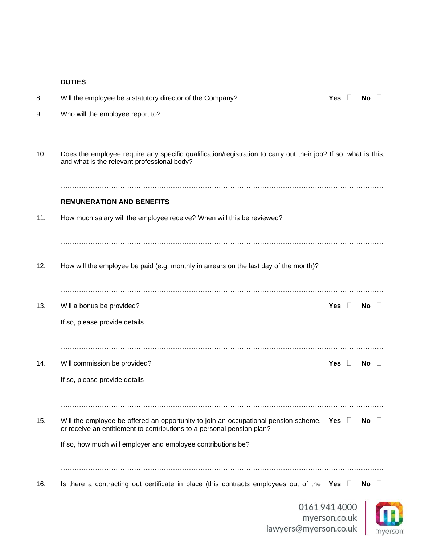#### **DUTIES**

| 8.  | Will the employee be a statutory director of the Company?                                                                                                                | Yes           | No  |           |
|-----|--------------------------------------------------------------------------------------------------------------------------------------------------------------------------|---------------|-----|-----------|
| 9.  | Who will the employee report to?                                                                                                                                         |               |     |           |
| 10. | Does the employee require any specific qualification/registration to carry out their job? If so, what is this,<br>and what is the relevant professional body?            |               |     |           |
|     | <b>REMUNERATION AND BENEFITS</b>                                                                                                                                         |               |     |           |
| 11. | How much salary will the employee receive? When will this be reviewed?                                                                                                   |               |     |           |
| 12. | How will the employee be paid (e.g. monthly in arrears on the last day of the month)?                                                                                    |               |     |           |
| 13. | Will a bonus be provided?                                                                                                                                                | Yes $\square$ | No. | $\Box$    |
|     | If so, please provide details                                                                                                                                            |               |     |           |
| 14. | Will commission be provided?                                                                                                                                             | Yes $\square$ | No. | $\Box$    |
|     | If so, please provide details                                                                                                                                            |               |     |           |
| 15. | Will the employee be offered an opportunity to join an occupational pension scheme, Yes $\Box$<br>or receive an entitlement to contributions to a personal pension plan? |               |     | No $\Box$ |
|     | If so, how much will employer and employee contributions be?                                                                                                             |               |     |           |
| 16. | Is there a contracting out certificate in place (this contracts employees out of the Yes $\Box$                                                                          |               | No  | −⊔        |
|     | 01619414000                                                                                                                                                              |               |     |           |

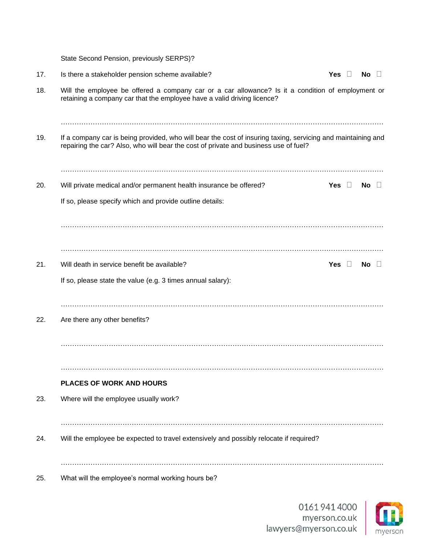State Second Pension, previously SERPS)?

| 17. | Is there a stakeholder pension scheme available?                                                                                                                                                     | Yes $\square$ | No<br>$\Box$ |  |
|-----|------------------------------------------------------------------------------------------------------------------------------------------------------------------------------------------------------|---------------|--------------|--|
| 18. | Will the employee be offered a company car or a car allowance? Is it a condition of employment or<br>retaining a company car that the employee have a valid driving licence?                         |               |              |  |
| 19. | If a company car is being provided, who will bear the cost of insuring taxing, servicing and maintaining and<br>repairing the car? Also, who will bear the cost of private and business use of fuel? |               |              |  |
|     |                                                                                                                                                                                                      |               |              |  |
| 20. | Will private medical and/or permanent health insurance be offered?                                                                                                                                   | Yes $\square$ | No $\square$ |  |
|     | If so, please specify which and provide outline details:                                                                                                                                             |               |              |  |
|     | Will death in service benefit be available?                                                                                                                                                          | Yes $\square$ |              |  |
| 21. | If so, please state the value (e.g. 3 times annual salary):                                                                                                                                          |               | No $\square$ |  |
| 22. | Are there any other benefits?                                                                                                                                                                        |               |              |  |
|     |                                                                                                                                                                                                      |               |              |  |
|     |                                                                                                                                                                                                      |               |              |  |
|     | <b>PLACES OF WORK AND HOURS</b>                                                                                                                                                                      |               |              |  |
| 23. | Where will the employee usually work?                                                                                                                                                                |               |              |  |
| 24. | Will the employee be expected to travel extensively and possibly relocate if required?                                                                                                               |               |              |  |
| 25. | What will the employee's normal working hours be?                                                                                                                                                    |               |              |  |

01619414000 myerson.co.uk<br>lawyers@myerson.co.uk

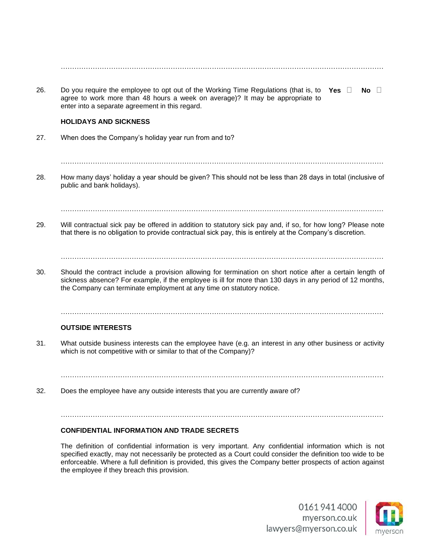| 26. | Do you require the employee to opt out of the Working Time Regulations (that is, to<br>Yes $\square$<br>$No$ $  $<br>agree to work more than 48 hours a week on average)? It may be appropriate to<br>enter into a separate agreement in this regard.<br><b>HOLIDAYS AND SICKNESS</b>           |
|-----|-------------------------------------------------------------------------------------------------------------------------------------------------------------------------------------------------------------------------------------------------------------------------------------------------|
|     |                                                                                                                                                                                                                                                                                                 |
| 27. | When does the Company's holiday year run from and to?                                                                                                                                                                                                                                           |
| 28. | How many days' holiday a year should be given? This should not be less than 28 days in total (inclusive of<br>public and bank holidays).                                                                                                                                                        |
|     |                                                                                                                                                                                                                                                                                                 |
| 29. | Will contractual sick pay be offered in addition to statutory sick pay and, if so, for how long? Please note<br>that there is no obligation to provide contractual sick pay, this is entirely at the Company's discretion.                                                                      |
|     |                                                                                                                                                                                                                                                                                                 |
| 30. | Should the contract include a provision allowing for termination on short notice after a certain length of<br>sickness absence? For example, if the employee is ill for more than 130 days in any period of 12 months,<br>the Company can terminate employment at any time on statutory notice. |
|     |                                                                                                                                                                                                                                                                                                 |
|     | <b>OUTSIDE INTERESTS</b>                                                                                                                                                                                                                                                                        |
| 31. | What outside business interests can the employee have (e.g. an interest in any other business or activity<br>which is not competitive with or similar to that of the Company)?                                                                                                                  |

32. Does the employee have any outside interests that you are currently aware of?

……………………………………………………………………………………………………………………………

#### **CONFIDENTIAL INFORMATION AND TRADE SECRETS**

The definition of confidential information is very important. Any confidential information which is not specified exactly, may not necessarily be protected as a Court could consider the definition too wide to be enforceable. Where a full definition is provided, this gives the Company better prospects of action against the employee if they breach this provision.

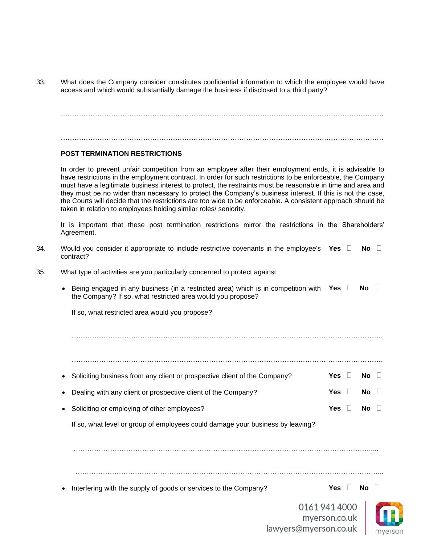33. What does the Company consider constitutes confidential information to which the employee would have access and which would substantially damage the business if disclosed to a third party?

…………………………………………………………………………………………………………………………… ……………………………………………………………………………………………………………………………

#### **POST TERMINATION RESTRICTIONS**

In order to prevent unfair competition from an employee after their employment ends, it is advisable to have restrictions in the employment contract. In order for such restrictions to be enforceable, the Company must have a legitimate business interest to protect, the restraints must be reasonable in time and area and they must be no wider than necessary to protect the Company's business interest. If this is not the case, the Courts will decide that the restrictions are too wide to be enforceable. A consistent approach should be taken in relation to employees holding similar roles/ seniority.

It is important that these post termination restrictions mirror the restrictions in the Shareholders' Agreement.

- 34. Would you consider it appropriate to include restrictive covenants in the employee's Yes  $\Box$  No  $\Box$ contract?
- 35. What type of activities are you particularly concerned to protect against:
	- Being engaged in any business (in a restricted area) which is in competition with Yes  $\Box$  No  $\Box$ the Company? If so, what restricted area would you propose?

If so, what restricted area would you propose?

……………………………………………………………………………………………………………………….

………………………………………………………………………………………………………………………. • Soliciting business from any client or prospective client of the Company? **Yes**  $\Box$  **No**  $\Box$ • Dealing with any client or prospective client of the Company? **Yes No No** 

• Soliciting or employing of other employees? **Yes Yes No I** 

If so, what level or group of employees could damage your business by leaving?

………………………………………………………………………………………………………………….....

**Fig. 2** Interfering with the supply of goods or services to the Company? **Yes Yes**  $\Box$  **No**  $\Box$ 

01619414000 myerson.co.uk lawyers@myerson.co.uk

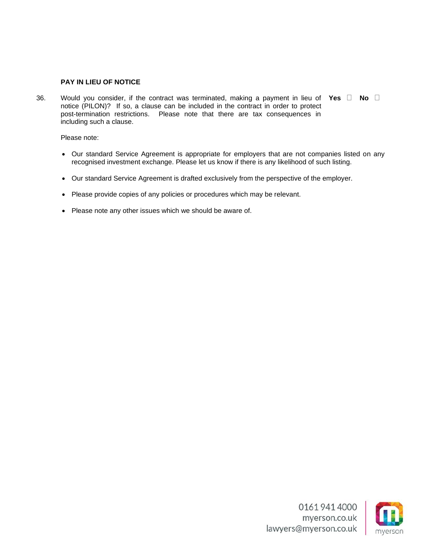#### **PAY IN LIEU OF NOTICE**

36. Would you consider, if the contract was terminated, making a payment in lieu of Yes  $\Box$  No  $\Box$ notice (PILON)? If so, a clause can be included in the contract in order to protect post-termination restrictions. Please note that there are tax consequences in including such a clause.

Please note:

- Our standard Service Agreement is appropriate for employers that are not companies listed on any recognised investment exchange. Please let us know if there is any likelihood of such listing.
- Our standard Service Agreement is drafted exclusively from the perspective of the employer.
- Please provide copies of any policies or procedures which may be relevant.
- Please note any other issues which we should be aware of.

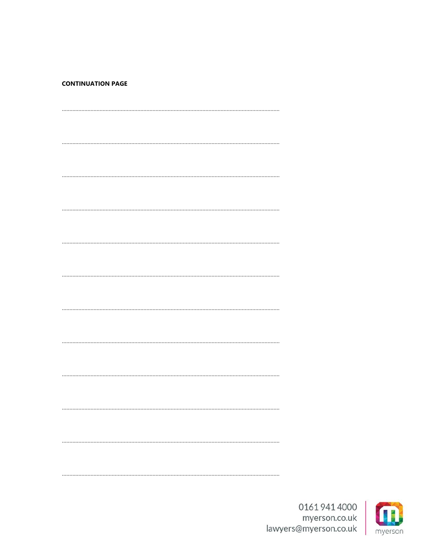